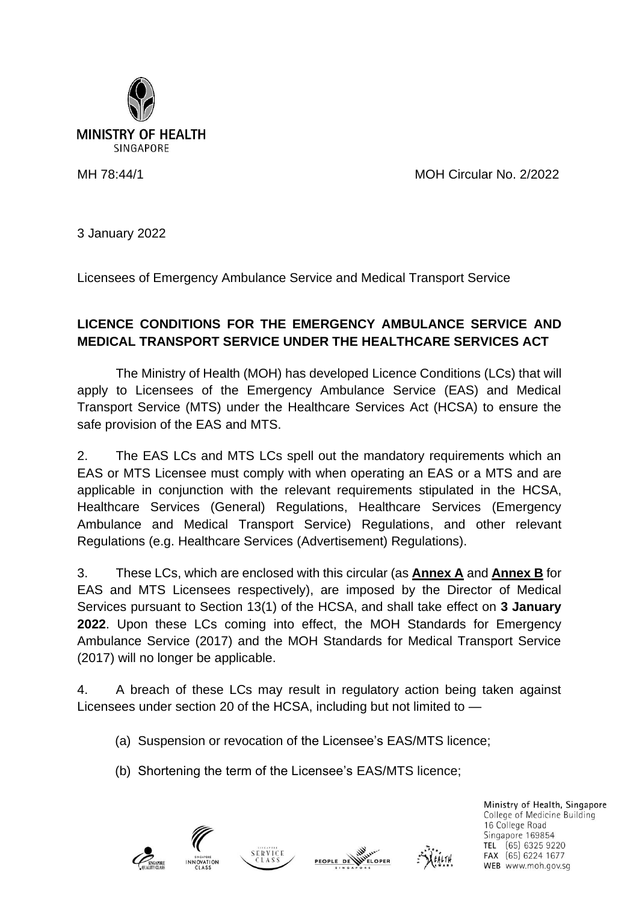

MH 78:44/1 MOH Circular No. 2/2022

3 January 2022

Licensees of Emergency Ambulance Service and Medical Transport Service

## **LICENCE CONDITIONS FOR THE EMERGENCY AMBULANCE SERVICE AND MEDICAL TRANSPORT SERVICE UNDER THE HEALTHCARE SERVICES ACT**

The Ministry of Health (MOH) has developed Licence Conditions (LCs) that will apply to Licensees of the Emergency Ambulance Service (EAS) and Medical Transport Service (MTS) under the Healthcare Services Act (HCSA) to ensure the safe provision of the EAS and MTS.

2. The EAS LCs and MTS LCs spell out the mandatory requirements which an EAS or MTS Licensee must comply with when operating an EAS or a MTS and are applicable in conjunction with the relevant requirements stipulated in the HCSA, Healthcare Services (General) Regulations, Healthcare Services (Emergency Ambulance and Medical Transport Service) Regulations, and other relevant Regulations (e.g. Healthcare Services (Advertisement) Regulations).

3. These LCs, which are enclosed with this circular (as **Annex A** and **Annex B** for EAS and MTS Licensees respectively), are imposed by the Director of Medical Services pursuant to Section 13(1) of the HCSA, and shall take effect on **3 January 2022**. Upon these LCs coming into effect, the MOH Standards for Emergency Ambulance Service (2017) and the MOH Standards for Medical Transport Service (2017) will no longer be applicable.

4. A breach of these LCs may result in regulatory action being taken against Licensees under section 20 of the HCSA, including but not limited to —

- (a) Suspension or revocation of the Licensee's EAS/MTS licence;
- (b) Shortening the term of the Licensee's EAS/MTS licence;







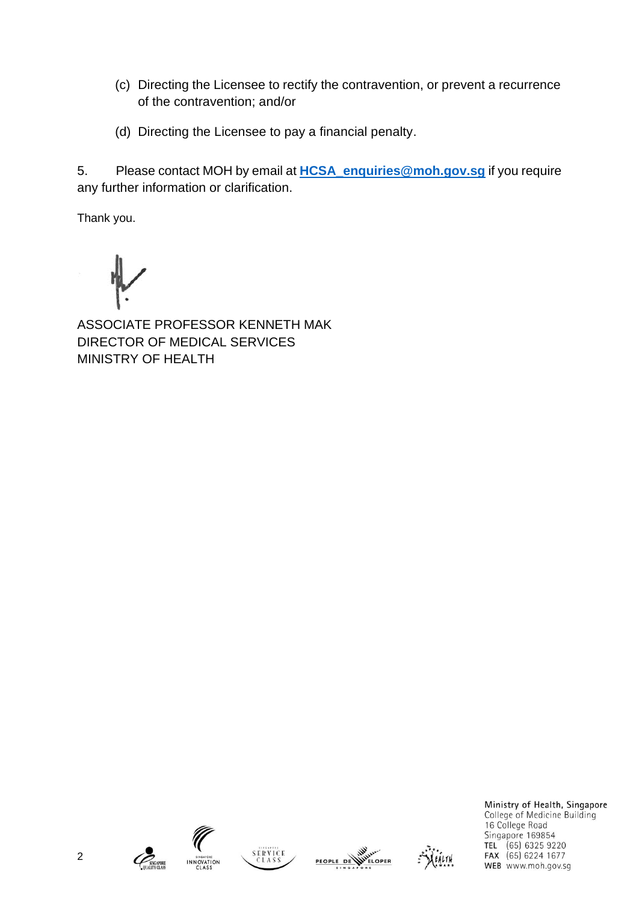- (c) Directing the Licensee to rectify the contravention, or prevent a recurrence of the contravention; and/or
- (d) Directing the Licensee to pay a financial penalty.

5. Please contact MOH by email at **[HCSA\\_enquiries@moh.gov.sg](mailto:eLIS@moh.gov.sg)** if you require any further information or clarification.

Thank you.

ASSOCIATE PROFESSOR KENNETH MAK DIRECTOR OF MEDICAL SERVICES MINISTRY OF HEALTH











Ministry of Health, Singapore College of Medicine Building 16 College Road Singapore 169854 TEL (65) 6325 9220 FAX (65) 6224 1677 WEB www.moh.gov.sg